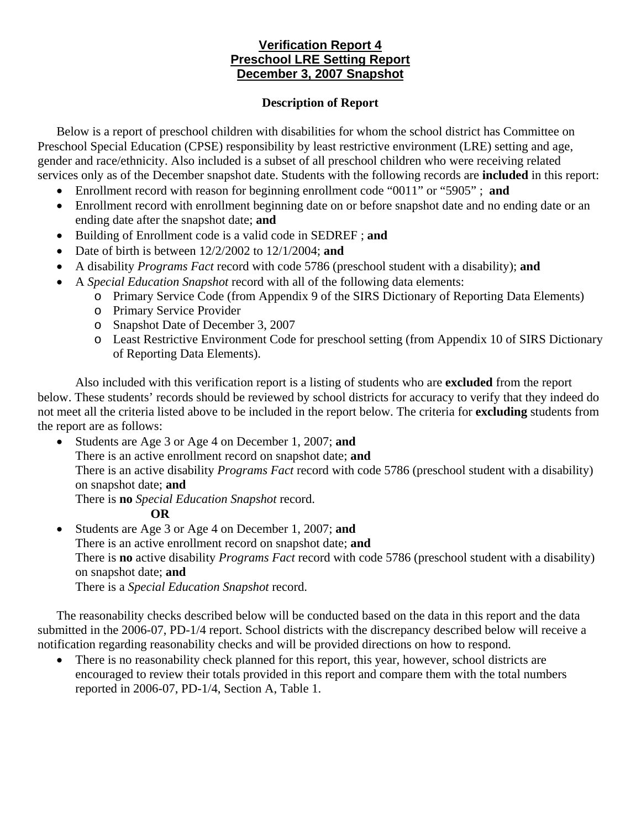## **Verification Report 4 Preschool LRE Setting Report December 3, 2007 Snapshot**

## **Description of Report**

Below is a report of preschool children with disabilities for whom the school district has Committee on Preschool Special Education (CPSE) responsibility by least restrictive environment (LRE) setting and age, gender and race/ethnicity. Also included is a subset of all preschool children who were receiving related services only as of the December snapshot date. Students with the following records are **included** in this report:

- Enrollment record with reason for beginning enrollment code "0011" or "5905" ; **and**
- Enrollment record with enrollment beginning date on or before snapshot date and no ending date or an ending date after the snapshot date; **and**
- Building of Enrollment code is a valid code in SEDREF ; **and**
- Date of birth is between 12/2/2002 to 12/1/2004; **and**
- A disability *Programs Fact* record with code 5786 (preschool student with a disability); **and**
- A *Special Education Snapshot* record with all of the following data elements:
	- o Primary Service Code (from Appendix 9 of the SIRS Dictionary of Reporting Data Elements)
	- o Primary Service Provider
	- o Snapshot Date of December 3, 2007
	- o Least Restrictive Environment Code for preschool setting (from Appendix 10 of SIRS Dictionary of Reporting Data Elements).

Also included with this verification report is a listing of students who are **excluded** from the report below. These students' records should be reviewed by school districts for accuracy to verify that they indeed do not meet all the criteria listed above to be included in the report below. The criteria for **excluding** students from the report are as follows:

• Students are Age 3 or Age 4 on December 1, 2007; **and** There is an active enrollment record on snapshot date; **and**  There is an active disability *Programs Fact* record with code 5786 (preschool student with a disability) on snapshot date; **and** There is **no** *Special Education Snapshot* record.

## **OR**

• Students are Age 3 or Age 4 on December 1, 2007; **and** There is an active enrollment record on snapshot date; **and** There is **no** active disability *Programs Fact* record with code 5786 (preschool student with a disability) on snapshot date; **and** 

There is a *Special Education Snapshot* record.

The reasonability checks described below will be conducted based on the data in this report and the data submitted in the 2006-07, PD-1/4 report. School districts with the discrepancy described below will receive a notification regarding reasonability checks and will be provided directions on how to respond.

• There is no reasonability check planned for this report, this year, however, school districts are encouraged to review their totals provided in this report and compare them with the total numbers reported in 2006-07, PD-1/4, Section A, Table 1.